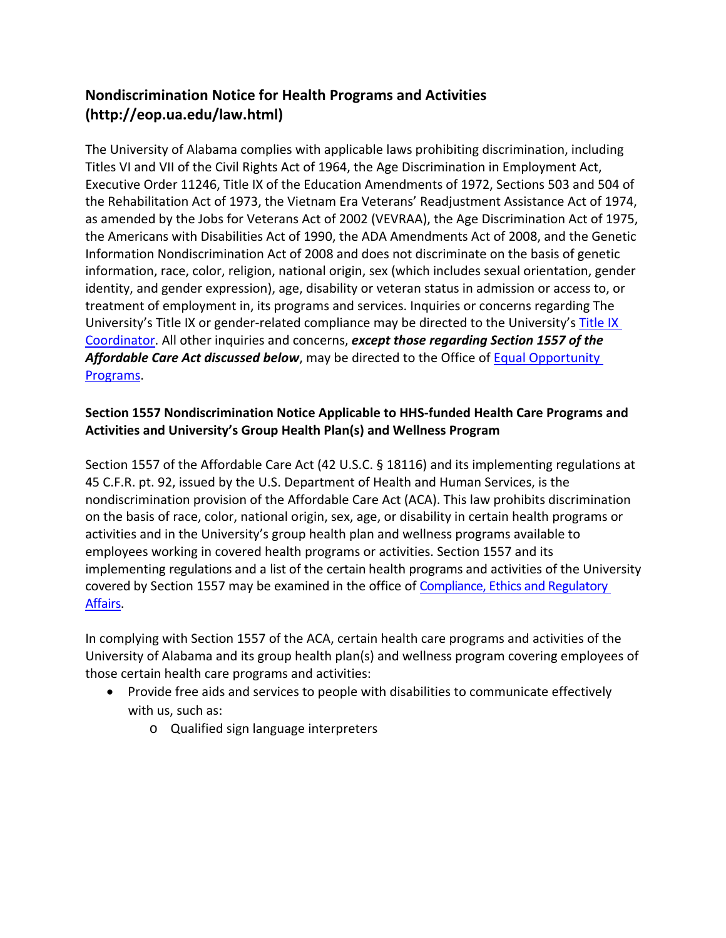## **Nondiscrimination Notice for Health Programs and Activities [\(http://eop.ua.edu/law.html\)](http://eop.ua.edu/law.html))**

The University of Alabama complies with applicable laws prohibiting discrimination, including Titles VI and VII of the Civil Rights Act of 1964, the Age Discrimination in Employment Act, Executive Order 11246, Title IX of the Education Amendments of 1972, Sections 503 and 504 of the Rehabilitation Act of 1973, the Vietnam Era Veterans' Readjustment Assistance Act of 1974, as amended by the Jobs for Veterans Act of 2002 (VEVRAA), the Age Discrimination Act of 1975, the Americans with Disabilities Act of 1990, the ADA Amendments Act of 2008, and the Genetic Information Nondiscrimination Act of 2008 and does not discriminate on the basis of genetic information, race, color, religion, national origin, sex (which includes sexual orientation, gender identity, and gender expression), age, disability or veteran status in admission or access to, or treatment of employment in, its programs and services. Inquiries or concerns regarding The University's [Title IX](https://titleix.ua.edu/about/coordinator/) or gender-related compliance may be directed to the University's Title IX [Coordinator.](https://titleix.ua.edu/about/coordinator/) All other inquiries and concerns, *except those regarding Section 1557 of the*  Affordable Care Act discussed below, may be directed to the Office of **Equal Opportunity** [Programs.](https://eop.ua.edu/)

## **Section 1557 Nondiscrimination Notice Applicable to HHS-funded Health Care Programs and Activities and University's Group Health Plan(s) and Wellness Program**

Section 1557 of the Affordable Care Act (42 U.S.C. § 18116) and its implementing regulations at 45 C.F.R. pt. 92, issued by the U.S. Department of Health and Human Services, is the nondiscrimination provision of the Affordable Care Act (ACA). This law prohibits discrimination on the basis of race, color, national origin, sex, age, or disability in certain health programs or activities and in the University's group health plan and wellness programs available to employees working in covered health programs or activities. Section 1557 and its implementing regulations and a list of the certain health programs and activities of the University covered by Section 1557 may be examined in the office of Compliance, [Ethics and Regulatory](https://compliance.ua.edu/staff-directory/)  [Affairs.](https://compliance.ua.edu/staff-directory/)

In complying with Section 1557 of the ACA, certain health care programs and activities of the University of Alabama and its group health plan(s) and wellness program covering employees of those certain health care programs and activities:

- Provide free aids and services to people with disabilities to communicate effectively with us, such as:
	- o Qualified sign language interpreters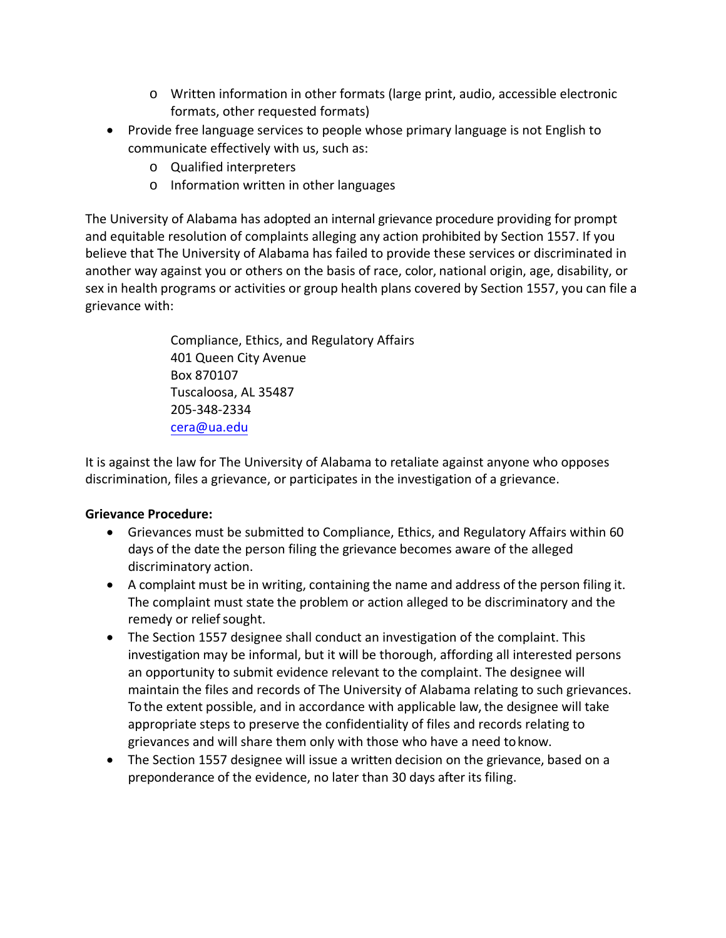- o Written information in other formats (large print, audio, accessible electronic formats, other requested formats)
- Provide free language services to people whose primary language is not English to communicate effectively with us, such as:
	- o Qualified interpreters
	- o Information written in other languages

The University of Alabama has adopted an internal grievance procedure providing for prompt and equitable resolution of complaints alleging any action prohibited by Section 1557. If you believe that The University of Alabama has failed to provide these services or discriminated in another way against you or others on the basis of race, color, national origin, age, disability, or sex in health programs or activities or group health plans covered by Section 1557, you can file a grievance with:

> Compliance, Ethics, and Regulatory Affairs 401 Queen City Avenue Box 870107 Tuscaloosa, AL 35487 205-348-2334 [cera@ua.edu](mailto:cera@ua.edu)

It is against the law for The University of Alabama to retaliate against anyone who opposes discrimination, files a grievance, or participates in the investigation of a grievance.

## **Grievance Procedure:**

- Grievances must be submitted to Compliance, Ethics, and Regulatory Affairs within 60 days of the date the person filing the grievance becomes aware of the alleged discriminatory action.
- A complaint must be in writing, containing the name and address of the person filing it. The complaint must state the problem or action alleged to be discriminatory and the remedy or relief sought.
- The Section 1557 designee shall conduct an investigation of the complaint. This investigation may be informal, but it will be thorough, affording all interested persons an opportunity to submit evidence relevant to the complaint. The designee will maintain the files and records of The University of Alabama relating to such grievances. To the extent possible, and in accordance with applicable law, the designee will take appropriate steps to preserve the confidentiality of files and records relating to grievances and will share them only with those who have a need toknow.
- The Section 1557 designee will issue a written decision on the grievance, based on a preponderance of the evidence, no later than 30 days after its filing.